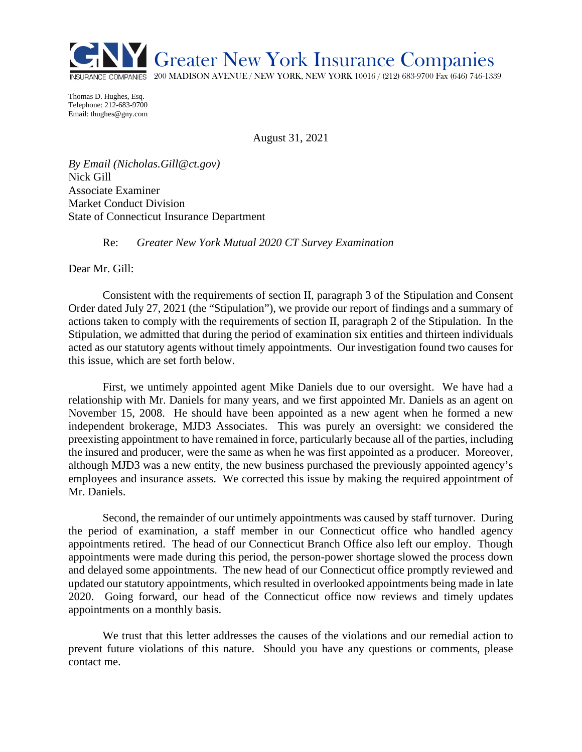

Thomas D. Hughes, Esq. Telephone: 212-683-9700 Email: thughes@gny.com

August 31, 2021

*By Email (Nicholas.Gill@ct.gov)* Nick Gill Associate Examiner Market Conduct Division State of Connecticut Insurance Department

Re: *Greater New York Mutual 2020 CT Survey Examination* 

Dear Mr. Gill:

Consistent with the requirements of section II, paragraph 3 of the Stipulation and Consent Order dated July 27, 2021 (the "Stipulation"), we provide our report of findings and a summary of actions taken to comply with the requirements of section II, paragraph 2 of the Stipulation. In the Stipulation, we admitted that during the period of examination six entities and thirteen individuals acted as our statutory agents without timely appointments. Our investigation found two causes for this issue, which are set forth below.

First, we untimely appointed agent Mike Daniels due to our oversight. We have had a relationship with Mr. Daniels for many years, and we first appointed Mr. Daniels as an agent on November 15, 2008. He should have been appointed as a new agent when he formed a new independent brokerage, MJD3 Associates. This was purely an oversight: we considered the preexisting appointment to have remained in force, particularly because all of the parties, including the insured and producer, were the same as when he was first appointed as a producer. Moreover, although MJD3 was a new entity, the new business purchased the previously appointed agency's employees and insurance assets. We corrected this issue by making the required appointment of Mr. Daniels.

Second, the remainder of our untimely appointments was caused by staff turnover. During the period of examination, a staff member in our Connecticut office who handled agency appointments retired. The head of our Connecticut Branch Office also left our employ. Though appointments were made during this period, the person-power shortage slowed the process down and delayed some appointments. The new head of our Connecticut office promptly reviewed and updated our statutory appointments, which resulted in overlooked appointments being made in late 2020. Going forward, our head of the Connecticut office now reviews and timely updates appointments on a monthly basis.

We trust that this letter addresses the causes of the violations and our remedial action to prevent future violations of this nature. Should you have any questions or comments, please contact me.